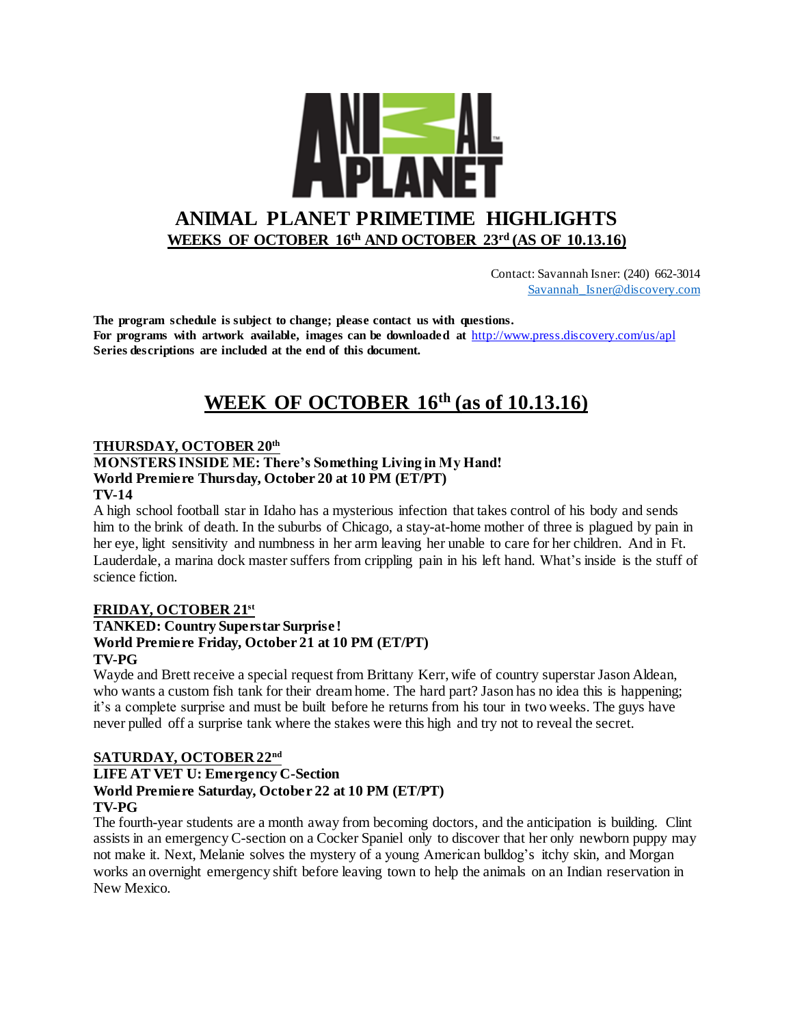

 Contact: Savannah Isner: (240) 662-3014 [Savannah\\_Isner@discovery.com](mailto:Savannah_Isner@discovery.com)

**The program schedule is subject to change; please contact us with questions. For programs with artwork available, images can be downloaded at** http://www.press.discovery.com/us/apl **Series descriptions are included at the end of this document.** 

## **WEEK OF OCTOBER 16th (as of 10.13.16)**

### **THURSDAY, OCTOBER 20th**

### **MONSTERS INSIDE ME: There's Something Living in My Hand! World Premiere Thursday, October 20 at 10 PM (ET/PT)**

### **TV-14**

A high school football star in Idaho has a mysterious infection that takes control of his body and sends him to the brink of death. In the suburbs of Chicago, a stay-at-home mother of three is plagued by pain in her eye, light sensitivity and numbness in her arm leaving her unable to care for her children. And in Ft. Lauderdale, a marina dock master suffers from crippling pain in his left hand. What's inside is the stuff of science fiction.

### **FRIDAY, OCTOBER 21st**

### **TANKED: Country Superstar Surprise ! World Premiere Friday, October 21 at 10 PM (ET/PT) TV-PG**

Wayde and Brett receive a special request from Brittany Kerr, wife of country superstar Jason Aldean, who wants a custom fish tank for their dream home. The hard part? Jason has no idea this is happening; it's a complete surprise and must be built before he returns from his tour in two weeks. The guys have never pulled off a surprise tank where the stakes were this high and try not to reveal the secret.

### **SATURDAY, OCTOBER 22nd**

### **LIFE AT VET U: Emergency C-Section World Premiere Saturday, October 22 at 10 PM (ET/PT) TV-PG**

The fourth-year students are a month away from becoming doctors, and the anticipation is building. Clint assists in an emergency C-section on a Cocker Spaniel only to discover that her only newborn puppy may not make it. Next, Melanie solves the mystery of a young American bulldog's itchy skin, and Morgan works an overnight emergency shift before leaving town to help the animals on an Indian reservation in New Mexico.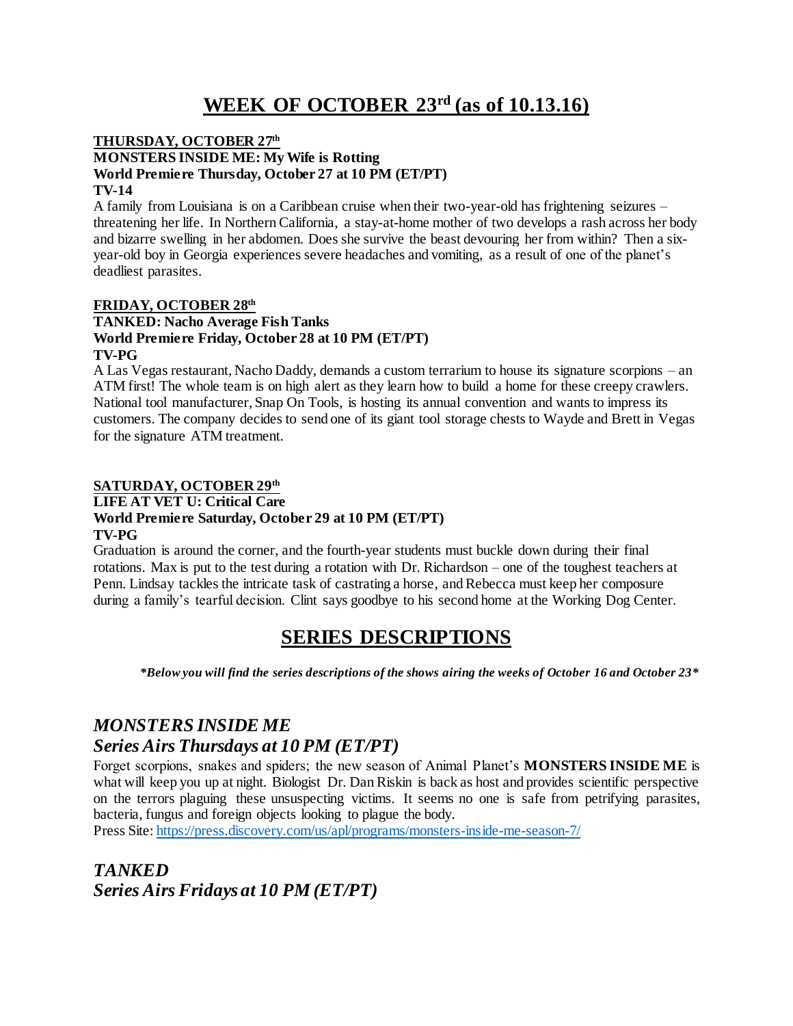# **WEEK OF OCTOBER 23rd (as of 10.13.16)**

#### **THURSDAY, OCTOBER 27th MONSTERS INSIDE ME: My Wife is Rotting World Premiere Thursday, October 27 at 10 PM (ET/PT) TV-14**

A family from Louisiana is on a Caribbean cruise when their two-year-old has frightening seizures – threatening her life. In Northern California, a stay-at-home mother of two develops a rash across her body and bizarre swelling in her abdomen. Does she survive the beast devouring her from within? Then a sixyear-old boy in Georgia experiences severe headaches and vomiting, as a result of one of the planet's deadliest parasites.

#### **FRIDAY, OCTOBER 28th TANKED: Nacho Average Fish Tanks World Premiere Friday, October 28 at 10 PM (ET/PT) TV-PG**

A Las Vegas restaurant, Nacho Daddy, demands a custom terrarium to house its signature scorpions – an ATM first! The whole team is on high alert as they learn how to build a home for these creepy crawlers. National tool manufacturer, Snap On Tools, is hosting its annual convention and wants to impress its customers. The company decides to send one of its giant tool storage chests to Wayde and Brett in Vegas for the signature ATM treatment.

### **SATURDAY, OCTOBER 29th**

### **LIFE AT VET U: Critical Care World Premiere Saturday, October 29 at 10 PM (ET/PT) TV-PG**

Graduation is around the corner, and the fourth-year students must buckle down during their final rotations. Max is put to the test during a rotation with Dr. Richardson – one of the toughest teachers at Penn. Lindsay tackles the intricate task of castrating a horse, and Rebecca must keep her composure during a family's tearful decision. Clint says goodbye to his second home at the Working Dog Center.

## **SERIES DESCRIPTIONS**

*\*Below you will find the series descriptions of the shows airing the weeks of October 16 and October 23\**

### *MONSTERS INSIDE ME Series Airs Thursdays at 10 PM (ET/PT)*

Forget scorpions, snakes and spiders; the new season of Animal Planet's **MONSTERS INSIDE ME** is what will keep you up at night. Biologist Dr. Dan Riskin is back as host and provides scientific perspective on the terrors plaguing these unsuspecting victims. It seems no one is safe from petrifying parasites, bacteria, fungus and foreign objects looking to plague the body.

Press Site:<https://press.discovery.com/us/apl/programs/monsters-inside-me-season-7/>

*TANKED Series Airs Fridays at 10 PM (ET/PT)*